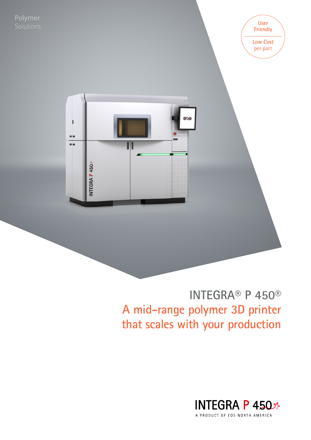Polymer Solutions **User**

**Friendly Low Cost**  per part



## **INTEGRA® P 450® A mid-range polymer 3D printer that scales with your production**